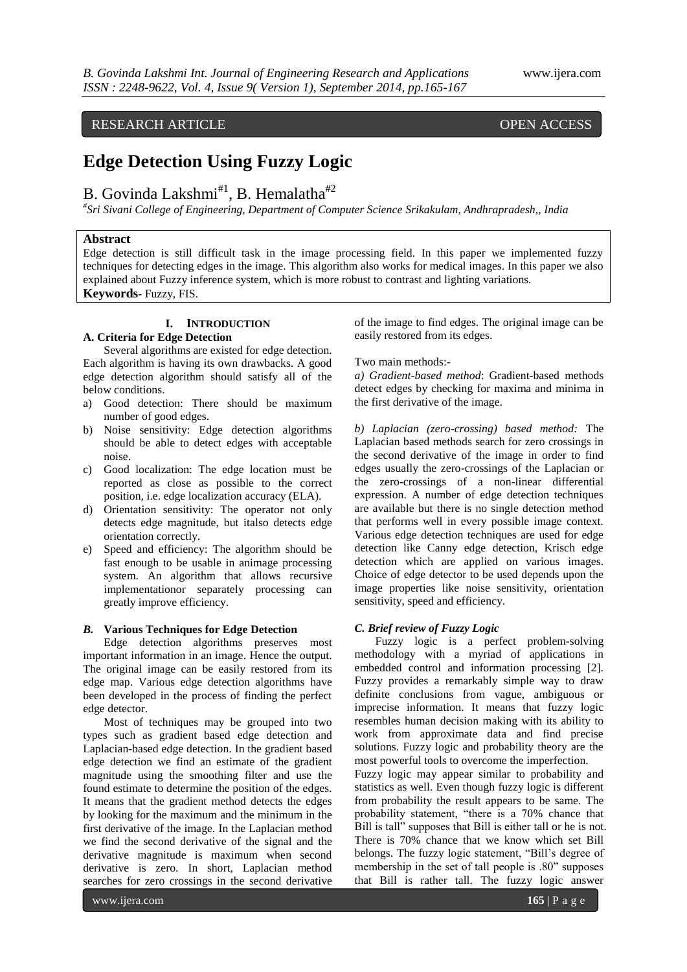RESEARCH ARTICLE OPEN ACCESS

# **Edge Detection Using Fuzzy Logic**

# B. Govinda Lakshmi<sup>#1</sup>, B. Hemalatha<sup>#2</sup>

*# Sri Sivani College of Engineering, Department of Computer Science Srikakulam, Andhrapradesh,, India*

#### **Abstract**

Edge detection is still difficult task in the image processing field. In this paper we implemented fuzzy techniques for detecting edges in the image. This algorithm also works for medical images. In this paper we also explained about Fuzzy inference system, which is more robust to contrast and lighting variations. **Keywords-** Fuzzy, FIS.

# **I. INTRODUCTION**

### **A. Criteria for Edge Detection**

Several algorithms are existed for edge detection. Each algorithm is having its own drawbacks. A good edge detection algorithm should satisfy all of the below conditions.

- a) Good detection: There should be maximum number of good edges.
- b) Noise sensitivity: Edge detection algorithms should be able to detect edges with acceptable noise.
- c) Good localization: The edge location must be reported as close as possible to the correct position, i.e. edge localization accuracy (ELA).
- d) Orientation sensitivity: The operator not only detects edge magnitude, but italso detects edge orientation correctly.
- e) Speed and efficiency: The algorithm should be fast enough to be usable in animage processing system. An algorithm that allows recursive implementationor separately processing can greatly improve efficiency.

## *B.* **Various Techniques for Edge Detection**

Edge detection algorithms preserves most important information in an image. Hence the output. The original image can be easily restored from its edge map. Various edge detection algorithms have been developed in the process of finding the perfect edge detector.

Most of techniques may be grouped into two types such as gradient based edge detection and Laplacian-based edge detection. In the gradient based edge detection we find an estimate of the gradient magnitude using the smoothing filter and use the found estimate to determine the position of the edges. It means that the gradient method detects the edges by looking for the maximum and the minimum in the first derivative of the image. In the Laplacian method we find the second derivative of the signal and the derivative magnitude is maximum when second derivative is zero. In short, Laplacian method searches for zero crossings in the second derivative

of the image to find edges. The original image can be easily restored from its edges.

#### Two main methods:-

*a) Gradient-based method*: Gradient-based methods detect edges by checking for maxima and minima in the first derivative of the image.

*b) Laplacian (zero-crossing) based method:* The Laplacian based methods search for zero crossings in the second derivative of the image in order to find edges usually the zero-crossings of the Laplacian or the zero-crossings of a non-linear differential expression. A number of edge detection techniques are available but there is no single detection method that performs well in every possible image context. Various edge detection techniques are used for edge detection like Canny edge detection, Krisch edge detection which are applied on various images. Choice of edge detector to be used depends upon the image properties like noise sensitivity, orientation sensitivity, speed and efficiency.

#### *C. Brief review of Fuzzy Logic*

Fuzzy logic is a perfect problem-solving methodology with a myriad of applications in embedded control and information processing [2]. Fuzzy provides a remarkably simple way to draw definite conclusions from vague, ambiguous or imprecise information. It means that fuzzy logic resembles human decision making with its ability to work from approximate data and find precise solutions. Fuzzy logic and probability theory are the most powerful tools to overcome the imperfection. Fuzzy logic may appear similar to probability and

statistics as well. Even though fuzzy logic is different from probability the result appears to be same. The probability statement, "there is a 70% chance that Bill is tall" supposes that Bill is either tall or he is not. There is 70% chance that we know which set Bill belongs. The fuzzy logic statement, "Bill"s degree of membership in the set of tall people is .80" supposes that Bill is rather tall. The fuzzy logic answer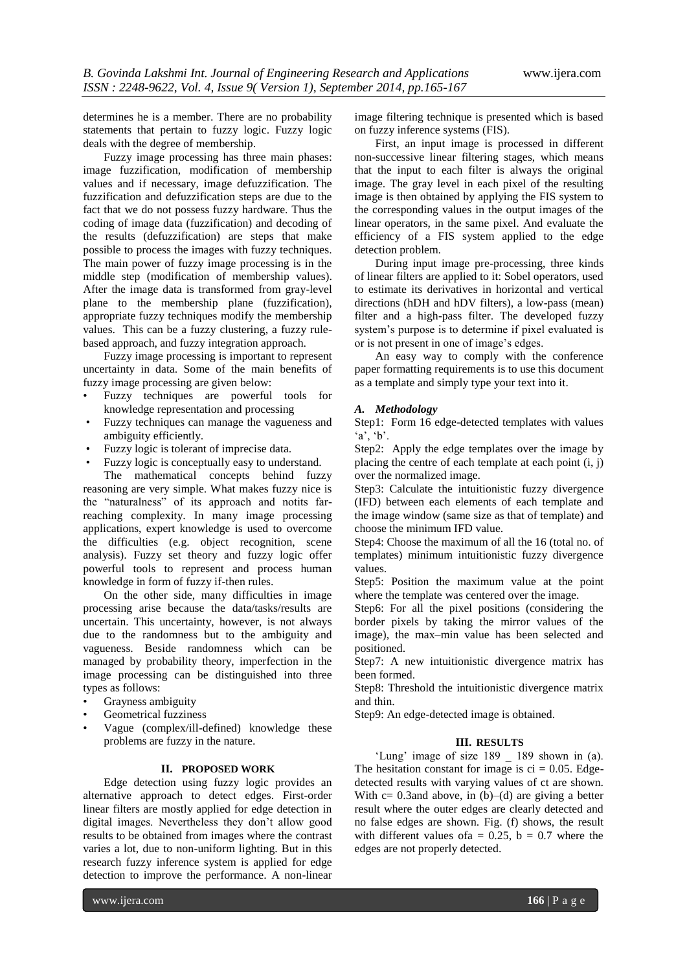determines he is a member. There are no probability statements that pertain to fuzzy logic. Fuzzy logic deals with the degree of membership.

Fuzzy image processing has three main phases: image fuzzification, modification of membership values and if necessary, image defuzzification. The fuzzification and defuzzification steps are due to the fact that we do not possess fuzzy hardware. Thus the coding of image data (fuzzification) and decoding of the results (defuzzification) are steps that make possible to process the images with fuzzy techniques. The main power of fuzzy image processing is in the middle step (modification of membership values). After the image data is transformed from gray-level plane to the membership plane (fuzzification), appropriate fuzzy techniques modify the membership values. This can be a fuzzy clustering, a fuzzy rulebased approach, and fuzzy integration approach.

Fuzzy image processing is important to represent uncertainty in data. Some of the main benefits of fuzzy image processing are given below:

- Fuzzy techniques are powerful tools for knowledge representation and processing
- Fuzzy techniques can manage the vagueness and ambiguity efficiently.
- Fuzzy logic is tolerant of imprecise data.
- Fuzzy logic is conceptually easy to understand.

The mathematical concepts behind fuzzy reasoning are very simple. What makes fuzzy nice is the "naturalness" of its approach and notits farreaching complexity. In many image processing applications, expert knowledge is used to overcome the difficulties (e.g. object recognition, scene analysis). Fuzzy set theory and fuzzy logic offer powerful tools to represent and process human knowledge in form of fuzzy if-then rules.

On the other side, many difficulties in image processing arise because the data/tasks/results are uncertain. This uncertainty, however, is not always due to the randomness but to the ambiguity and vagueness. Beside randomness which can be managed by probability theory, imperfection in the image processing can be distinguished into three types as follows:

- Grayness ambiguity
- Geometrical fuzziness
- Vague (complex/ill-defined) knowledge these problems are fuzzy in the nature.

#### **II. PROPOSED WORK**

Edge detection using fuzzy logic provides an alternative approach to detect edges. First-order linear filters are mostly applied for edge detection in digital images. Nevertheless they don"t allow good results to be obtained from images where the contrast varies a lot, due to non-uniform lighting. But in this research fuzzy inference system is applied for edge detection to improve the performance. A non-linear

image filtering technique is presented which is based on fuzzy inference systems (FIS).

First, an input image is processed in different non-successive linear filtering stages, which means that the input to each filter is always the original image. The gray level in each pixel of the resulting image is then obtained by applying the FIS system to the corresponding values in the output images of the linear operators, in the same pixel. And evaluate the efficiency of a FIS system applied to the edge detection problem.

During input image pre-processing, three kinds of linear filters are applied to it: Sobel operators, used to estimate its derivatives in horizontal and vertical directions (hDH and hDV filters), a low-pass (mean) filter and a high-pass filter. The developed fuzzy system's purpose is to determine if pixel evaluated is or is not present in one of image"s edges.

An easy way to comply with the conference paper formatting requirements is to use this document as a template and simply type your text into it.

#### *A. Methodology*

Step1: Form 16 edge-detected templates with values  $a', b'.$ 

Step2: Apply the edge templates over the image by placing the centre of each template at each point (i, j) over the normalized image.

Step3: Calculate the intuitionistic fuzzy divergence (IFD) between each elements of each template and the image window (same size as that of template) and choose the minimum IFD value.

Step4: Choose the maximum of all the 16 (total no. of templates) minimum intuitionistic fuzzy divergence values.

Step5: Position the maximum value at the point where the template was centered over the image.

Step6: For all the pixel positions (considering the border pixels by taking the mirror values of the image), the max–min value has been selected and positioned.

Step7: A new intuitionistic divergence matrix has been formed.

Step8: Threshold the intuitionistic divergence matrix and thin.

Step9: An edge-detected image is obtained.

#### **III. RESULTS**

'Lung' image of size 189 \_ 189 shown in (a). The hesitation constant for image is  $ci = 0.05$ . Edgedetected results with varying values of ct are shown. With  $c = 0.3$ and above, in  $(b)$ – $(d)$  are giving a better result where the outer edges are clearly detected and no false edges are shown. Fig. (f) shows, the result with different values of  $a = 0.25$ ,  $b = 0.7$  where the edges are not properly detected.